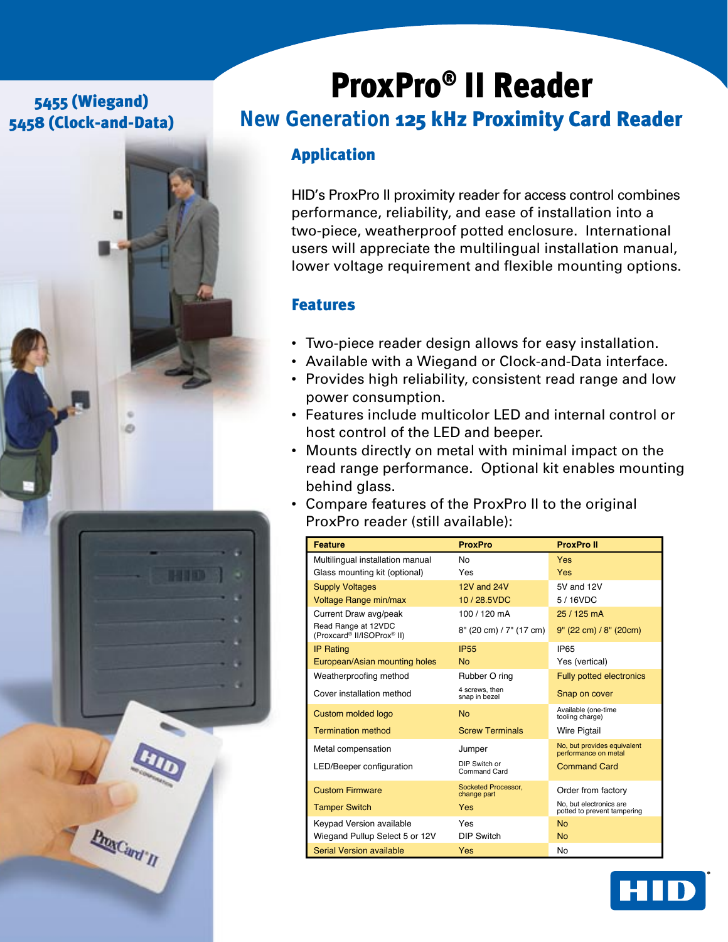## 5455 (Wiegand) 5458 (Clock-and-Data)



# ProxPro® II Reader

# *New Generation* 125 kHz Proximity Card Reader

## Application

HID's ProxPro II proximity reader for access control combines performance, reliability, and ease of installation into a two-piece, weatherproof potted enclosure. International users will appreciate the multilingual installation manual, lower voltage requirement and flexible mounting options.

## Features

- Two-piece reader design allows for easy installation.
- Available with a Wiegand or Clock-and-Data interface.
- Provides high reliability, consistent read range and low power consumption.
- Features include multicolor LED and internal control or host control of the LED and beeper.
- Mounts directly on metal with minimal impact on the read range performance. Optional kit enables mounting behind glass.
- Compare features of the ProxPro II to the original ProxPro reader (still available):

| <b>Feature</b>                                    | <b>ProxPro</b>                     | <b>ProxPro II</b>                                      |
|---------------------------------------------------|------------------------------------|--------------------------------------------------------|
| Multilingual installation manual                  | No                                 | <b>Yes</b>                                             |
| Glass mounting kit (optional)                     | Yes                                | <b>Yes</b>                                             |
| <b>Supply Voltages</b>                            | 12V and 24V                        | 5V and 12V                                             |
| Voltage Range min/max                             | 10/28.5VDC                         | 5/16VDC                                                |
| Current Draw avg/peak                             | 100 / 120 mA                       | 25 / 125 mA                                            |
| Read Range at 12VDC<br>(Proxcard® II/ISOProx® II) | 8" (20 cm) / 7" (17 cm)            | $9''$ (22 cm) / $8''$ (20 cm)                          |
| <b>IP Rating</b>                                  | <b>IP55</b>                        | <b>IP65</b>                                            |
| European/Asian mounting holes                     | <b>No</b>                          | Yes (vertical)                                         |
| Weatherproofing method                            | Rubber O ring                      | <b>Fully potted electronics</b>                        |
| Cover installation method                         | 4 screws, then<br>snap in bezel    | Snap on cover                                          |
| Custom molded logo                                | <b>No</b>                          | Available (one-time<br>tooling charge)                 |
| <b>Termination method</b>                         | <b>Screw Terminals</b>             | <b>Wire Pigtail</b>                                    |
| Metal compensation                                | Jumper                             | No, but provides equivalent<br>performance on metal    |
| LED/Beeper configuration                          | DIP Switch or<br>Command Card      | <b>Command Card</b>                                    |
| <b>Custom Firmware</b>                            | Socketed Processor,<br>change part | Order from factory                                     |
| <b>Tamper Switch</b>                              | Yes                                | No. but electronics are<br>potted to prevent tampering |
| Keypad Version available                          | Yes                                | <b>No</b>                                              |
| Wiegand Pullup Select 5 or 12V                    | <b>DIP Switch</b>                  | <b>No</b>                                              |
| Serial Version available                          | Yes                                | No                                                     |